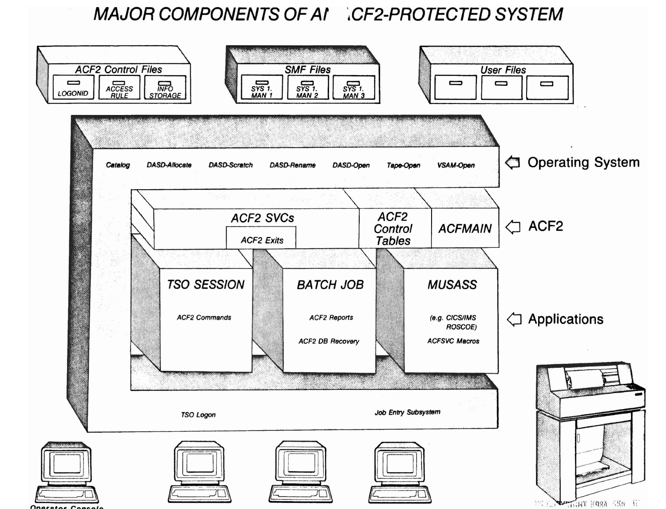# MAJOR COMPONENTS OF AI CF2-PROTECTED SYSTEM

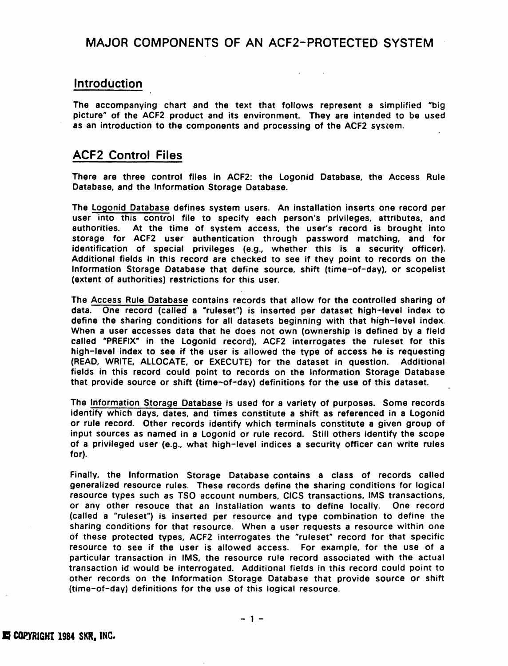## Introduction

The accompanying chart and the text that follows represent a simplified "big picture" of the ACF2 product and its environment. They are intended to be used as an introduction to the components and processing of the ACF2 system.

## ACF2 Control Files

There are three control files in ACF2: the Logonid Database, the Access Rule Database, and the Information Storage Database.

The logonid Database defines system users. An installation inserts one record per user into this control file to specify each person's privileges, attributes, and authorities. At the time of system access, the user's record is brought into storage for ACF2 user authentication through password matching, and for identification of special privileges (e.g., whether this is a security officer). Additional fields in this record are checked to see if they point to records on the Information Storage Database that define source, shift (time-of-day), or scopelist (extent of authorities) restrictions for this user.

The Access Rule Database contains records that allow for the controlled sharing of data. One record (called a "ruleset") is inserted per dataset high-level index to define the sharing conditions for all datasets beginning with that high-level index. When a user accesses data that he does not own (ownership is defined by a field called "PREFIX" in the Logonid record), ACF2 interrogates the ruleset for this high-level index to see if the user is allowed the type of access he is requesting (READ, WRITE, ALLOCATE, or EXECUTE) for the dataset in question. Additional fields in this record could point to records on the Information Storage Database that provide source or shift (time-of-day) definitions for the use of this dataset.

The Information Storage Database is used for a variety of purposes. Some records identify which days, dates, and times constitute a shift as referenced in a Logonid or rule record. Other records identify which terminals constitute a given group of input sources as named in a Logonid or rule record. Still others identify the scope of a privileged user (e.g., what high-level indices a security officer can write rules for).

Finally, the Information Storage Database contains a class of records called generalized resource rules. These records define the sharing conditions for logical resource types such as TSO account numbers, CICS transactions, IMS transactions, or any other resouce that an installation wants to define locally. One record (called a "ruleset") is inserted per resource and type combination to define the sharing conditions for that resource. When a user requests a resource within one of these protected types, ACF2 interrogates the "ruleset" record for that specific resource to see if the user is allowed access. For example, for the use of a particular transaction in IMS, the resource rule record associated with the actual transaction id would be interrogated. Additional fields in this record could point to other records on the Information Storage Database that provide source or shift (time-ot-day) definitions for the use of this logical resource.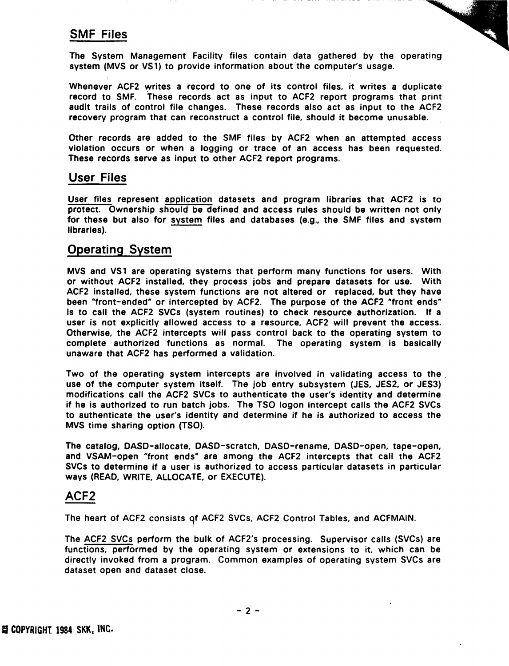# SMF Files

The System Management Facility files contain data gathered by the operating system (MVS or VS1) to provide information about the computer's usage.

Whenever ACF2 writes a record to one of its control files, it writes a duplicate record to SMF. These records act as input to ACF2 report programs that print audit trails of control file changes. These records also act as input to the ACF2 recovery program that can reconstruct a control file, should it become unusable.

Other records are added to the SMF files by ACF2 when an attempted access violation occurs or when a logging or trace of an access has been requested. These records serve as input to other ACF2 report programs.

### User Files

User files represent application datasets and program libraries that ACF2 is to protect.. Ownership should be defined and access rules should be written not only for these but also for system files and databases (e.g., the SMF files and system libraries).

## Operating System

MVS and VS1 are operating systems that perform many functions for users. With or without ACF2 installed, they process jobs and prepare datasets for use. With ACF2 installed, these system functions are not altered or replaced, but they have been "front-ended" or intercepted by ACF2. The purpose of the ACF2 "front ends" is to call the ACF2 SVCs (system routines) to check resource authorization. If a user is not explicitly allowed access to a resource, ACF2 will prevent the access. Otherwise, the ACF2 intercepts will pass control back to the operating system to complete authorized functions as normal. The operating system is basically unaware that ACF2 has performed a validation.

Two of the operating system intercepts are involved in validating access to the use of the computer system itself. The job entry subsystem (JES, JES2, or JES3) modifications call the ACF2 SVCs to authenticate the user's identity and determine if he is authorized to run batch jobs. The TSO logon intercept calls the ACF2 SVCs to authenticate the user's identity and determine if he is authorized to access the MVS time sharing option (TSO).

The catalog, CASO-allocate, DASD-scratch, DASD-rename, DASD-open, tape-open, and VSAM-open "front ends" are among the ACF2 intercepts that call the ACF2 SVCs to determine if a user is authorized to access particular datasets in particular ways (READ, WRITE, ALLOCATE, or EXECUTE).

### ACF2

The heart of ACF2 consists 9f ACF2 SVCs, ACF2 Control Tables, and ACFMAIN.

The ACF2 SVCs perform the bulk of ACF2's processing. Supervisor calls (SVCs) are functions, performed by the operating system or extensions to it, which can be directly invoked from a program. Common examples of operating system SVCs are dataset open and dataset close.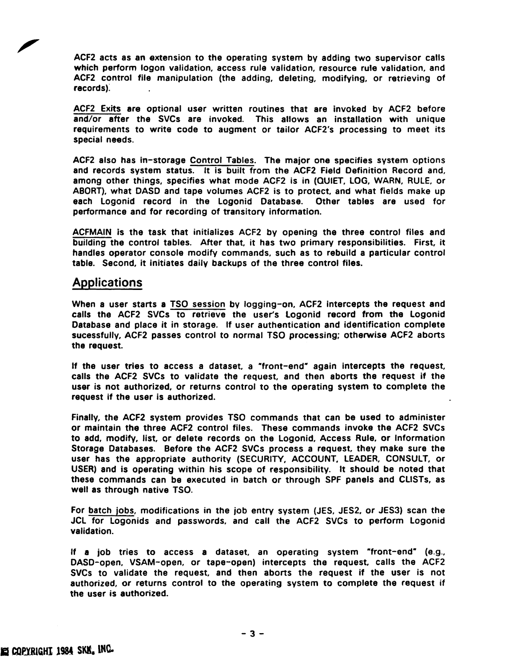ACF2 acts as an extension to the operating system by adding two supervisor calls which perform logon validation, access rule validation, resource rule validation, and ACF2 control file manipulation (the adding, deleting, modifying, or retrjeving of records).

ACF2 Exits are optional user written routines that are invoked by ACF2 before and/or after the SVCs are invoked.. This allows an installation with unique requirements to write code to augment or tailor ACF2's processing to meet its special needs.

ACF2 also has in-storage Control Tables. The major one specifies system options and records system status. It is built from the ACF2 Field Definition Record and, among other things, specifies what mode ACF2 is in (QUIET, LOG, WARN, RULE, or ABORT), what DASD and tape volumes ACF2 is to protect, and what fields make up each Logonid record in the Logonid Database. Other tables are used for performance and for recording of transitory information.

ACFMAIN is the task that initializes ACF2 by opening the three control files and bUilding the control tables. After that, it has two primary responsibilities. First, it handles operator console modify commands, such as to rebuild a particular control table. Second, it initiates daily backups of the three control files.

#### Applications

When a user starts a TSO session by logging-on. ACF2 intercepts the request and calls the ACF2 SVCs to retrieve the user's logonid record from the Logonid Database and place it in storage. If user authentication and identification complete sucessfully, ACF2 passes control to normal TSO processing; otherwise ACF2 aborts the request.

If the user tries to access a dataset, a "front-end" again intercepts the request, calls the ACF2 SVCs to validate the request, and then aborts the request if the user is not authorized, or returns control to the operating system to complete the request if the user is authorized.

Finally, the ACF2 system provides TSO commands that can be used to administer or maintain the three ACF2 control files. These commands invoke the ACF2 SVCs to add, modify, Jist, or delete records on the Logonid, Access Rule, or Information Storage Databases. Before the ACF2 SVCs process a request, they make sure the user has the appropriate authority (SECURITY, ACCOUNT, LEADER, CONSULT, or USER) and is operating within his scope of responsibility. It should be noted that these commands can be executed in batch or through SPF panels and ClISTs, as well as through native TSO.

For batch jobs, modifications in the job entry system (JES, JES2. or JES3) scan the JCL for Logonids and passwords, and call the ACF2 SVCs to perform logonid validation.

If a job tries to access a dataset, an operating system "front-end" (e.g., DASD-open, VSAM-open, or tape-open) intercepts the request, calls the ACF2 SVCs to validate the request, and then aborts the request if the user is not authorized, or returns control to the operating system to complete the request if the user is authorized.